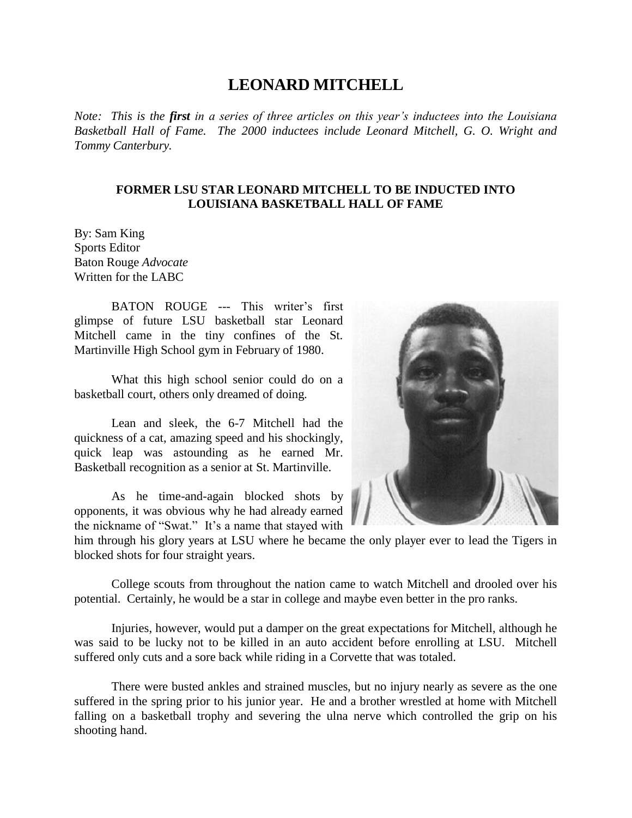## **LEONARD MITCHELL**

*Note: This is the first in a series of three articles on this year's inductees into the Louisiana Basketball Hall of Fame. The 2000 inductees include Leonard Mitchell, G. O. Wright and Tommy Canterbury.*

## **FORMER LSU STAR LEONARD MITCHELL TO BE INDUCTED INTO LOUISIANA BASKETBALL HALL OF FAME**

By: Sam King Sports Editor Baton Rouge *Advocate* Written for the LABC

BATON ROUGE --- This writer's first glimpse of future LSU basketball star Leonard Mitchell came in the tiny confines of the St. Martinville High School gym in February of 1980.

What this high school senior could do on a basketball court, others only dreamed of doing.

Lean and sleek, the 6-7 Mitchell had the quickness of a cat, amazing speed and his shockingly, quick leap was astounding as he earned Mr. Basketball recognition as a senior at St. Martinville.

As he time-and-again blocked shots by opponents, it was obvious why he had already earned the nickname of "Swat." It's a name that stayed with



College scouts from throughout the nation came to watch Mitchell and drooled over his potential. Certainly, he would be a star in college and maybe even better in the pro ranks.

Injuries, however, would put a damper on the great expectations for Mitchell, although he was said to be lucky not to be killed in an auto accident before enrolling at LSU. Mitchell suffered only cuts and a sore back while riding in a Corvette that was totaled.

There were busted ankles and strained muscles, but no injury nearly as severe as the one suffered in the spring prior to his junior year. He and a brother wrestled at home with Mitchell falling on a basketball trophy and severing the ulna nerve which controlled the grip on his shooting hand.

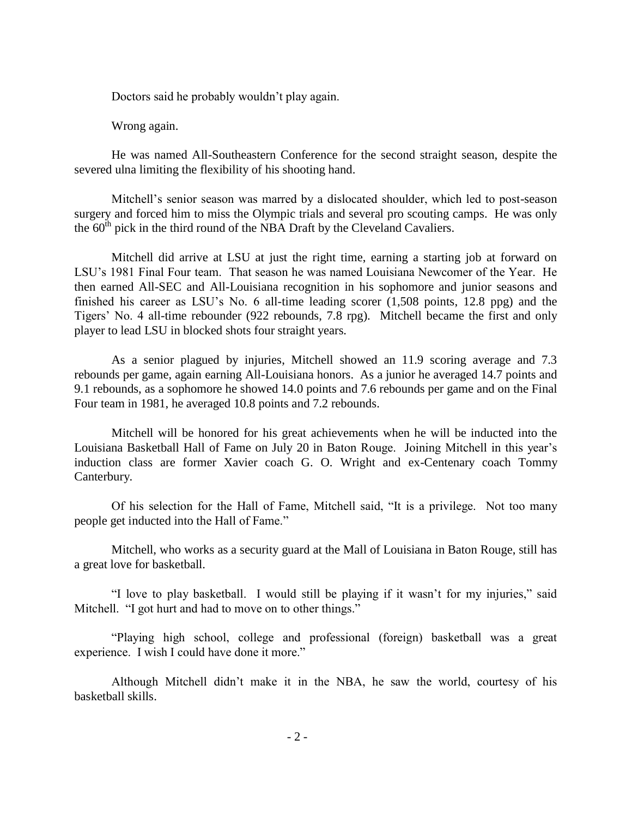Doctors said he probably wouldn't play again.

Wrong again.

He was named All-Southeastern Conference for the second straight season, despite the severed ulna limiting the flexibility of his shooting hand.

Mitchell's senior season was marred by a dislocated shoulder, which led to post-season surgery and forced him to miss the Olympic trials and several pro scouting camps. He was only the  $60<sup>th</sup>$  pick in the third round of the NBA Draft by the Cleveland Cavaliers.

Mitchell did arrive at LSU at just the right time, earning a starting job at forward on LSU's 1981 Final Four team. That season he was named Louisiana Newcomer of the Year. He then earned All-SEC and All-Louisiana recognition in his sophomore and junior seasons and finished his career as LSU's No. 6 all-time leading scorer  $(1,508 \text{ points}, 12.8 \text{ ppg})$  and the Tigers' No. 4 all-time rebounder (922 rebounds, 7.8 rpg). Mitchell became the first and only player to lead LSU in blocked shots four straight years.

As a senior plagued by injuries, Mitchell showed an 11.9 scoring average and 7.3 rebounds per game, again earning All-Louisiana honors. As a junior he averaged 14.7 points and 9.1 rebounds, as a sophomore he showed 14.0 points and 7.6 rebounds per game and on the Final Four team in 1981, he averaged 10.8 points and 7.2 rebounds.

Mitchell will be honored for his great achievements when he will be inducted into the Louisiana Basketball Hall of Fame on July 20 in Baton Rouge. Joining Mitchell in this year's induction class are former Xavier coach G. O. Wright and ex-Centenary coach Tommy Canterbury.

Of his selection for the Hall of Fame, Mitchell said, "It is a privilege. Not too many people get inducted into the Hall of Fame."

Mitchell, who works as a security guard at the Mall of Louisiana in Baton Rouge, still has a great love for basketball.

"I love to play basketball. I would still be playing if it wasn't for my injuries," said Mitchell. "I got hurt and had to move on to other things."

"Playing high school, college and professional (foreign) basketball was a great experience. I wish I could have done it more."

Although Mitchell didn't make it in the NBA, he saw the world, courtesy of his basketball skills.